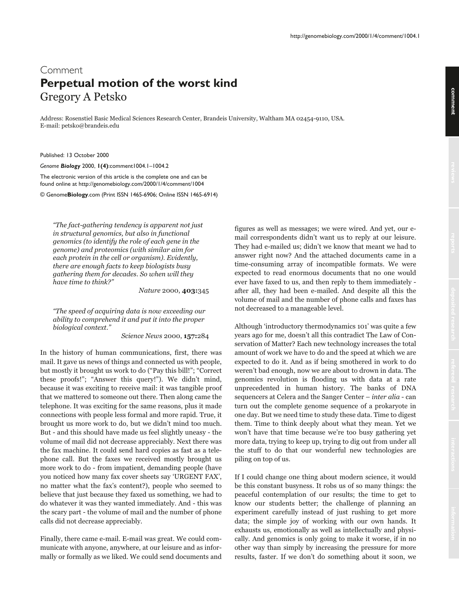## comment **comment**

## Comment **Perpetual motion of the worst kind** Gregory A Petsko

Address: Rosenstiel Basic Medical Sciences Research Center, Brandeis University, Waltham MA 02454-9110, USA. E-mail: petsko@brandeis.edu

Published: 13 October 2000

*Genome Biology* 2000, **1(4)**:comment1004.1–1004.2

The electronic version of this article is the complete one and can be found online at http://genomebiology.com/2000/1/4/comment/1004

© Genome**Biology**.com (Print ISSN 1465-6906; Online ISSN 1465-6914)

"The fact-gathering tendency is apparent not just in structural genomics, but also in functional genomics (to identify the role of each gene in the genome) and proteomics (with similar aim for each protein in the cell or organism). Evidently, there are enough facts to keep biologists busy gathering them for decades. So when will they have time to think?"

Nature 2000, **403:**345

"The speed of acquiring data is now exceeding our ability to comprehend it and put it into the proper biological context."

Science News 2000, 157:284

In the history of human communications, first, there was mail. It gave us news of things and connected us with people, but mostly it brought us work to do ("Pay this bill!"; "Correct these proofs!"; "Answer this query!"). We didn't mind, because it was exciting to receive mail: it was tangible proof that we mattered to someone out there. Then along came the telephone. It was exciting for the same reasons, plus it made connections with people less formal and more rapid. True, it brought us more work to do, but we didn't mind too much. But - and this should have made us feel slightly uneasy - the volume of mail did not decrease appreciably. Next there was the fax machine. It could send hard copies as fast as a telephone call. But the faxes we received mostly brought us more work to do - from impatient, demanding people (have you noticed how many fax cover sheets say 'URGENT FAX', no matter what the fax's content?), people who seemed to believe that just because they faxed us something, we had to do whatever it was they wanted immediately. And - this was the scary part - the volume of mail and the number of phone calls did not decrease appreciably.

Finally, there came e-mail. E-mail was great. We could communicate with anyone, anywhere, at our leisure and as informally or formally as we liked. We could send documents and figures as well as messages; we were wired. And yet, our email correspondents didn't want us to reply at our leisure. They had e-mailed us; didn't we know that meant we had to answer right now? And the attached documents came in a time-consuming array of incompatible formats. We were expected to read enormous documents that no one would ever have faxed to us, and then reply to them immediately after all, they had been e-mailed. And despite all this the volume of mail and the number of phone calls and faxes has not decreased to a manageable level.

Although 'introductory thermodynamics 101' was quite a few years ago for me, doesn't all this contradict The Law of Conservation of Matter? Each new technology increases the total amount of work we have to do and the speed at which we are expected to do it. And as if being smothered in work to do weren't bad enough, now we are about to drown in data. The genomics revolution is flooding us with data at a rate unprecedented in human history. The banks of DNA sequencers at Celera and the Sanger Center – *inter alia* - can turn out the complete genome sequence of a prokaryote in one day. But we need time to study these data. Time to digest them. Time to think deeply about what they mean. Yet we won't have that time because we're too busy gathering yet more data, trying to keep up, trying to dig out from under all the stuff to do that our wonderful new technologies are piling on top of us.

If I could change one thing about modern science, it would be this constant busyness. It robs us of so many things: the peaceful contemplation of our results; the time to get to know our students better; the challenge of planning an experiment carefully instead of just rushing to get more data; the simple joy of working with our own hands. It exhausts us, emotionally as well as intellectually and physically. And genomics is only going to make it worse, if in no other way than simply by increasing the pressure for more results, faster. If we don't do something about it soon, we